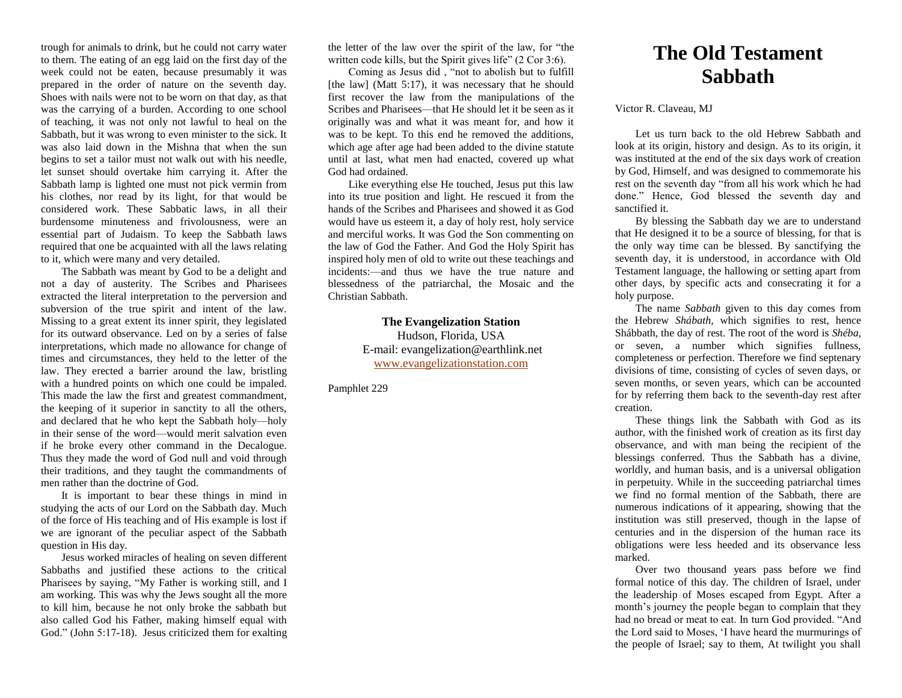trough for animals to drink, but he could not carry water to them. The eating of an egg laid on the first day of the week could not be eaten, because presumably it was prepared in the order of nature on the seventh day. Shoes with nails were not to be worn on that day, as that was the carrying of a burden. According to one school of teaching, it was not only not lawful to heal on the Sabbath, but it was wrong to even minister to the sick. It was also laid down in the Mishna that when the sun begins to set a tailor must not walk out with his needle, let sunset should overtake him carrying it. After the Sabbath lamp is lighted one must not pick vermin from his clothes, nor read by its light, for that would be considered work. These Sabbatic laws, in all their burdensome minuteness and frivolousness, were an essential part of Judaism. To keep the Sabbath laws required that one be acquainted with all the laws relating to it, which were many and very detailed.

The Sabbath was meant by God to be a delight and not a day of austerity. The Scribes and Pharisees extracted the literal interpretation to the perversion and subversion of the true spirit and intent of the law. Missing to a great extent its inner spirit, they legislated for its outward observance. Led on by a series of false interpretations, which made no allowance for change of times and circumstances, they held to the letter of the law. They erected a barrier around the law, bristling with a hundred points on which one could be impaled. This made the law the first and greatest commandment, the keeping of it superior in sanctity to all the others, and declared that he who kept the Sabbath holy—holy in their sense of the word—would merit salvation even if he broke every other command in the Decalogue. Thus they made the word of God null and void through their traditions, and they taught the commandments of men rather than the doctrine of God.

It is important to bear these things in mind in studying the acts of our Lord on the Sabbath day. Much of the force of His teaching and of His example is lost if we are ignorant of the peculiar aspect of the Sabbath question in His day.

Jesus worked miracles of healing on seven different Sabbaths and justified these actions to the critical Pharisees by saying, "My Father is working still, and I am working. This was why the Jews sought all the more to kill him, because he not only broke the sabbath but also called God his Father, making himself equal with God." (John 5:17-18). Jesus criticized them for exalting the letter of the law over the spirit of the law, for "the written code kills, but the Spirit gives life" (2 Cor 3:6).

Coming as Jesus did , "not to abolish but to fulfill [the law] (Matt 5:17), it was necessary that he should first recover the law from the manipulations of the Scribes and Pharisees—that He should let it be seen as it originally was and what it was meant for, and how it was to be kept. To this end he removed the additions, which age after age had been added to the divine statute until at last, what men had enacted, covered up what God had ordained.

Like everything else He touched, Jesus put this law into its true position and light. He rescued it from the hands of the Scribes and Pharisees and showed it as God would have us esteem it, a day of holy rest, holy service and merciful works. It was God the Son commenting on the law of God the Father. And God the Holy Spirit has inspired holy men of old to write out these teachings and incidents:—and thus we have the true nature and blessedness of the patriarchal, the Mosaic and the Christian Sabbath.

> **The Evangelization Station** Hudson, Florida, USA E-mail: evangelization@earthlink.net [www.evangelizationstation.com](http://www.pjpiisoe.org/)

Pamphlet 229

## **The Old Testament Sabbath**

Victor R. Claveau, MJ

Let us turn back to the old Hebrew Sabbath and look at its origin, history and design. As to its origin, it was instituted at the end of the six days work of creation by God, Himself, and was designed to commemorate his rest on the seventh day "from all his work which he had done." Hence, God blessed the seventh day and sanctified it.

By blessing the Sabbath day we are to understand that He designed it to be a source of blessing, for that is the only way time can be blessed. By sanctifying the seventh day, it is understood, in accordance with Old Testament language, the hallowing or setting apart from other days, by specific acts and consecrating it for a holy purpose.

The name *Sabbath* given to this day comes from the Hebrew *Shábath,* which signifies to rest, hence Shábbath*,* the day of rest. The root of the word is *Shéba*, or seven, a number which signifies fullness, completeness or perfection. Therefore we find septenary divisions of time, consisting of cycles of seven days, or seven months, or seven years, which can be accounted for by referring them back to the seventh-day rest after creation.

These things link the Sabbath with God as its author, with the finished work of creation as its first day observance, and with man being the recipient of the blessings conferred. Thus the Sabbath has a divine, worldly, and human basis, and is a universal obligation in perpetuity. While in the succeeding patriarchal times we find no formal mention of the Sabbath, there are numerous indications of it appearing, showing that the institution was still preserved, though in the lapse of centuries and in the dispersion of the human race its obligations were less heeded and its observance less marked.

Over two thousand years pass before we find formal notice of this day. The children of Israel, under the leadership of Moses escaped from Egypt. After a month's journey the people began to complain that they had no bread or meat to eat. In turn God provided. "And the Lord said to Moses, 'I have heard the murmurings of the people of Israel; say to them, At twilight you shall